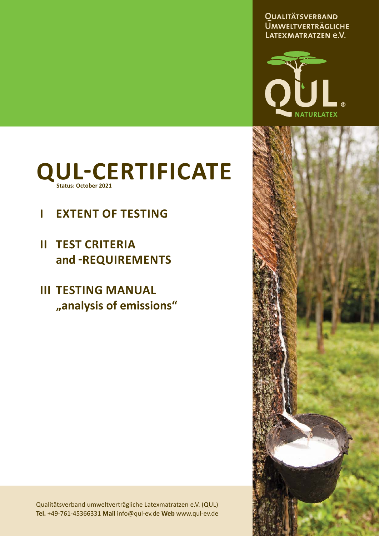**QUALITÄTSVERBAND UMWELTVERTRÄGLICHE** LATEXMATRATZEN e.V.





# **I EXTENT OF TESTING**

- **II TEST CRITERIA and ͳREQUIREMENTS**
- **III TESTING MANUAL "analysis of emissions"**

Qualitätsverband umweltverträgliche Latexmatratzen e.V. (QUL) **Tel.** +49-761-45366331 **Mail** info@qul-ev.de **Web** www.qul-ev.de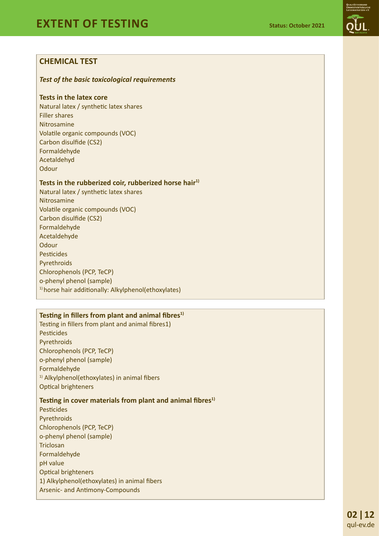# **CHEMICAL TEST**

#### *Test of the basic toxicological requirements*

#### **Tests in the latex core**

Natural latex / synthetic latex shares Filler shares Nitrosamine Volatile organic compounds (VOC) Carbon disulfide (CS2) Formaldehyde Acetaldehyd **Odour** 

#### Tests in the rubberized coir, rubberized horse hair<sup>1)</sup>

Natural latex / synthetic latex shares Nitrosamine Volatile organic compounds (VOC) Carbon disulfide (CS2) Formaldehyde Acetaldehyde **Odour Pesticides** Pyrethroids Chlorophenols (PCP, TeCP) o-phenyl phenol (sample) <sup>1)</sup> horse hair additionally: Alkylphenol(ethoxylates)

# Testing in fillers from plant and animal fibres<sup>1)</sup>

Testing in fillers from plant and animal fibres1) Pesticides Pyrethroids Chlorophenols (PCP, TeCP) o-phenyl phenol (sample) Formaldehyde  $1)$  Alkylphenol(ethoxylates) in animal fibers Optical brighteners

#### **Testing in cover materials from plant and animal fibres<sup>1)</sup>**

**Pesticides** Pyrethroids Chlorophenols (PCP, TeCP) o-phenyl phenol (sample) Triclosan Formaldehyde pH value Optical brighteners 1) Alkylphenol(ethoxylates) in animal fibers Arsenic- and Antimony-Compounds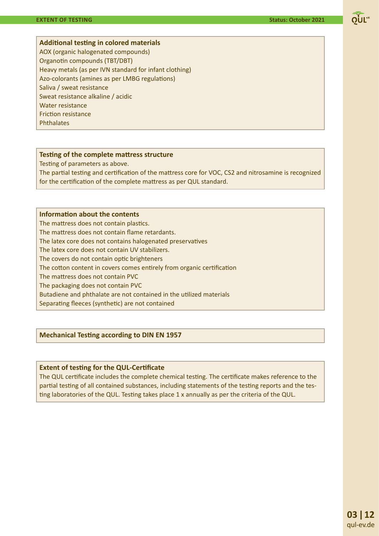

AOX (organic halogenated compounds) Organotin compounds (TBT/DBT) Heavy metals (as per IVN standard for infant clothing) Azo-colorants (amines as per LMBG regulations) Saliva / sweat resistance Sweat resistance alkaline / acidic Water resistance Friction resistance **Phthalates** 

#### **Testing of the complete mattress structure**

Testing of parameters as above.

The partial testing and certification of the mattress core for VOC, CS2 and nitrosamine is recognized for the certification of the complete mattress as per QUL standard.

#### **Information about the contents**

The mattress does not contain plastics. The mattress does not contain flame retardants. The latex core does not contains halogenated preservatives The latex core does not contain UV stabilizers. The covers do not contain optic brighteners The cotton content in covers comes entirely from organic certification The mattress does not contain PVC The packaging does not contain PVC Butadiene and phthalate are not contained in the utilized materials Separating fleeces (synthetic) are not contained

#### **Mechanical Testing according to DIN EN 1957**

#### **Extent of testing for the QUL-Certificate**

The QUL certificate includes the complete chemical testing. The certificate makes reference to the partial testing of all contained substances, including statements of the testing reports and the testing laboratories of the QUL. Testing takes place  $1 \times$  annually as per the criteria of the QUL.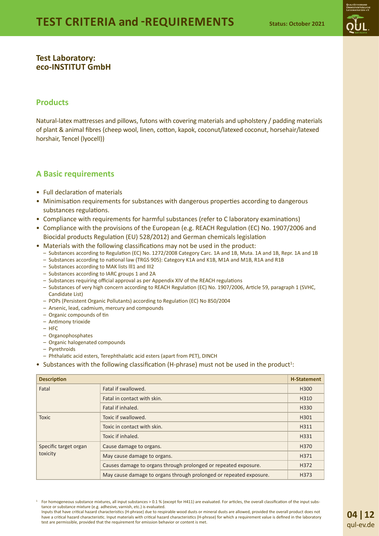

#### **Test Laboratory: eco-INSTITUT GmbH**

#### **Products**

Natural-latex mattresses and pillows, futons with covering materials and upholstery / padding materials of plant & animal fibres (cheep wool, linen, cotton, kapok, coconut/latexed coconut, horsehair/latexed horshair, Tencel (lyocell))

#### **A Basic requirements**

- Full declaration of materials
- Minimisation requirements for substances with dangerous properties according to dangerous substances regulations.
- Compliance with requirements for harmful substances (refer to C laboratory examinations)
- Compliance with the provisions of the European (e.g. REACH Regulation (EC) No. 1907/2006 and Biocidal products Regulation (EU) 528/2012) and German chemicals legislation
- Materials with the following classifications may not be used in the product:
	- Substances according to Regulation (EC) No. 1272/2008 Category Carc. 1A and 1B, Muta. 1A and 1B, Repr. 1A and 1B
	- Substances according to national law (TRGS 905): Category K1A and K1B, M1A and M1B, R1A and R1B
	- Substances according to MAK lists lll1 and III2
	- Substances according to IARC groups 1 and 2A
	- Substances requiring official approval as per Appendix XIV of the REACH regulations
	- Substances of very high concern according to REACH Regulation (EC) No. 1907/2006, Article 59, paragraph 1 (SVHC, Candidate List)
	- POPs (Persistent Organic Pollutants) according to Regulation (EC) No 850/2004
	- Arsenic, lead, cadmium, mercury and compounds
	- Organic compounds of tin
	- Antimony trioxide
	- HFC
	- Organophosphates
	- Organic halogenated compounds
	- Pyrethroids
	- Phthalatic acid esters, Terephthalatic acid esters (apart from PET), DINCH
- Substances with the following classification (H-phrase) must not be used in the product<sup>1</sup>:

| <b>Description</b><br><b>H-Statement</b> |                                                                    |      |
|------------------------------------------|--------------------------------------------------------------------|------|
| Fatal                                    | Fatal if swallowed.                                                |      |
|                                          | Fatal in contact with skin.                                        | H310 |
|                                          | Fatal if inhaled.                                                  | H330 |
| <b>Toxic</b>                             | Toxic if swallowed.                                                | H301 |
|                                          | Toxic in contact with skin.                                        | H311 |
|                                          | Toxic if inhaled.                                                  | H331 |
| Specific target organ                    | Cause damage to organs.                                            | H370 |
| toxicity                                 | May cause damage to organs.                                        | H371 |
|                                          | Causes damage to organs through prolonged or repeated exposure.    | H372 |
|                                          | May cause damage to organs through prolonged or repeated exposure. | H373 |

 $1$  For homogeneous substance mixtures, all input substances > 0.1 % (except for H411) are evaluated. For articles, the overall classification of the input substance or substance mixture (e.g. adhesive, varnish, etc.) is evaluated.

Inputs that have critical hazard characteristics (H-phrase) due to respirable wood dusts or mineral dusts are allowed, provided the overall product does not have a critical hazard characteristic. Input materials with critical hazard characteristics (H-phrase) for which a requirement value is defined in the laboratory test are permissible, provided that the requirement for emission behavior or content is met.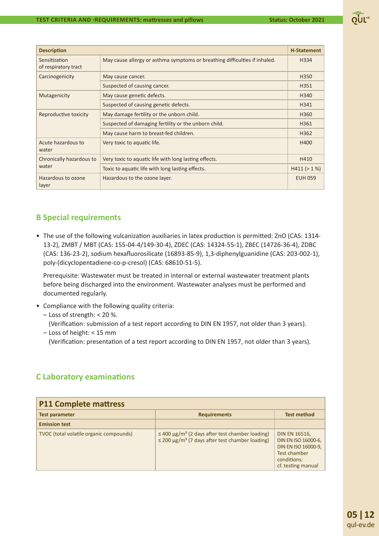| <b>Description</b>                    |                                                                            | <b>H-Statement</b> |
|---------------------------------------|----------------------------------------------------------------------------|--------------------|
| Sensitization<br>of respiratory tract | May cause allergy or asthma symptoms or breathing difficulties if inhaled. | H334               |
| Carcinogenicity                       | May cause cancer.                                                          | H350               |
|                                       | Suspected of causing cancer.                                               | H351               |
| Mutagenicity                          | May cause genetic defects.                                                 | H340               |
|                                       | Suspected of causing genetic defects.                                      | H341               |
| Reproductive toxicity                 | May damage fertility or the unborn child.                                  | H360               |
|                                       | Suspected of damaging fertility or the unborn child.                       | H361               |
|                                       | May cause harm to breast-fed children.                                     | H362               |
| Acute hazardous to<br>water           | Very toxic to aquatic life.                                                | H400               |
| Chronically hazardous to              | Very toxic to aquatic life with long lasting effects.                      | H410               |
| water                                 | Toxic to aquatic life with long lasting effects.                           | H411 (> 1%)        |
| Hazardous to ozone<br>layer           | Hazardous to the ozone layer.                                              | <b>EUH 059</b>     |

### **B Special requirements**

• The use of the following vulcanization auxiliaries in latex production is permitted: ZnO (CAS: 1314-13-2), ZMBT / MBT (CAS: 155-04-4/149-30-4), ZDEC (CAS: 14324-55-1), ZBEC (14726-36-4), ZDBC (CAS: 136-23-2), sodium hexafluorosilicate (16893-85-9), 1,3-diphenylguanidine (CAS: 203-002-1), poly-(dicyclopentadiene-co-p-cresol) (CAS: 68610-51-5).

 Prerequisite: Wastewater must be treated in internal or external wastewater treatment plants before being discharged into the environment. Wastewater analyses must be performed and documented regularly.

- Compliance with the following quality criteria:
	- Loss of strength: < 20 %.

(Verification: submission of a test report according to DIN EN 1957, not older than 3 years).

– Loss of height: < 15 mm (Verification: presentation of a test report according to DIN EN 1957, not older than 3 years).

# **C Laboratory examinations**

| <b>P11 Complete mattress</b>            |                                                                                                                                      |                                                                                                                         |
|-----------------------------------------|--------------------------------------------------------------------------------------------------------------------------------------|-------------------------------------------------------------------------------------------------------------------------|
| <b>Test parameter</b>                   | <b>Requirements</b>                                                                                                                  | <b>Test method</b>                                                                                                      |
| <b>Emission test</b>                    |                                                                                                                                      |                                                                                                                         |
| TVOC (total volatile organic compounds) | $\leq$ 400 µg/m <sup>3</sup> (2 days after test chamber loading)<br>$\leq$ 200 µg/m <sup>3</sup> (7 days after test chamber loading) | <b>DIN EN 16516,</b><br>DIN EN ISO 16000-6,<br>DIN EN ISO 16000-9,<br>Test chamber<br>conditions:<br>cf. testing manual |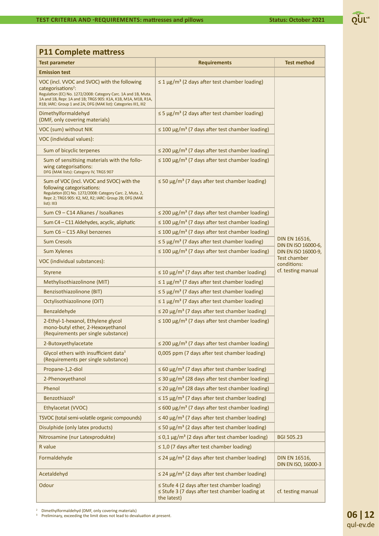

| <b>P11 Complete mattress</b>                                                                                                                                                                                                                                                           |                                                                                                                         |                                             |
|----------------------------------------------------------------------------------------------------------------------------------------------------------------------------------------------------------------------------------------------------------------------------------------|-------------------------------------------------------------------------------------------------------------------------|---------------------------------------------|
| <b>Test parameter</b>                                                                                                                                                                                                                                                                  | <b>Requirements</b>                                                                                                     | <b>Test method</b>                          |
| <b>Emission test</b>                                                                                                                                                                                                                                                                   |                                                                                                                         |                                             |
| VOC (incl. VVOC and SVOC) with the following<br>categorisations <sup>2</sup> :<br>Regulation (EC) No. 1272/2008: Category Carc. 1A and 1B, Muta.<br>1A and 1B, Repr. 1A and 1B; TRGS 905: K1A, K1B, M1A, M1B, R1A,<br>R1B; IARC: Group 1 and 2A; DFG (MAK list): Categories III1, III2 | $\leq$ 1 µg/m <sup>3</sup> (2 days after test chamber loading)                                                          |                                             |
| Dimethylformaldehyd<br>(DMF, only covering materials)                                                                                                                                                                                                                                  | $\leq$ 5 µg/m <sup>3</sup> (2 days after test chamber loading)                                                          |                                             |
| VOC (sum) without NIK                                                                                                                                                                                                                                                                  | $\leq$ 100 µg/m <sup>3</sup> (7 days after test chamber loading)                                                        |                                             |
| VOC (individual values):                                                                                                                                                                                                                                                               |                                                                                                                         |                                             |
| Sum of bicyclic terpenes                                                                                                                                                                                                                                                               | $\leq$ 200 µg/m <sup>3</sup> (7 days after test chamber loading)                                                        |                                             |
| Sum of sensitising materials with the follo-<br>wing categorisations:<br>DFG (MAK lists): Category IV, TRGS 907                                                                                                                                                                        | $\leq$ 100 µg/m <sup>3</sup> (7 days after test chamber loading)                                                        |                                             |
| Sum of VOC (incl. VVOC and SVOC) with the<br>following categorisations:<br>Regulation (EC) No. 1272/2008: Category Carc. 2, Muta. 2,<br>Repr. 2; TRGS 905: K2, M2, R2; IARC: Group 2B; DFG (MAK<br>list): III3                                                                         | $\leq$ 50 µg/m <sup>3</sup> (7 days after test chamber loading)                                                         |                                             |
| Sum C9 - C14 Alkanes / Isoalkanes                                                                                                                                                                                                                                                      | $\leq$ 200 µg/m <sup>3</sup> (7 days after test chamber loading)                                                        |                                             |
| Sum C4 - C11 Aldehydes, acyclic, aliphatic                                                                                                                                                                                                                                             | $\leq$ 100 µg/m <sup>3</sup> (7 days after test chamber loading)                                                        |                                             |
| Sum C6 - C15 Alkyl benzenes                                                                                                                                                                                                                                                            | $\leq$ 100 µg/m <sup>3</sup> (7 days after test chamber loading)                                                        |                                             |
| <b>Sum Cresols</b>                                                                                                                                                                                                                                                                     | $\leq$ 5 µg/m <sup>3</sup> (7 days after test chamber loading)                                                          | DIN EN 16516,<br>DIN EN ISO 16000-6,        |
| <b>Sum Xylenes</b>                                                                                                                                                                                                                                                                     | $\leq$ 100 µg/m <sup>3</sup> (7 days after test chamber loading)                                                        | DIN EN ISO 16000-9,                         |
| VOC (individual substances):                                                                                                                                                                                                                                                           |                                                                                                                         | Test chamber<br>conditions:                 |
| <b>Styrene</b>                                                                                                                                                                                                                                                                         | $\leq$ 10 µg/m <sup>3</sup> (7 days after test chamber loading)                                                         | cf. testing manual                          |
| Methylisothiazolinone (MIT)                                                                                                                                                                                                                                                            | $\leq$ 1 µg/m <sup>3</sup> (7 days after test chamber loading)                                                          |                                             |
| <b>Benzisothiazolinone (BIT)</b>                                                                                                                                                                                                                                                       | $\leq$ 5 µg/m <sup>3</sup> (7 days after test chamber loading)                                                          |                                             |
| Octylisothiazolinone (OIT)                                                                                                                                                                                                                                                             | $\leq$ 1 µg/m <sup>3</sup> (7 days after test chamber loading)                                                          |                                             |
| Benzaldehyde                                                                                                                                                                                                                                                                           | $\leq$ 20 µg/m <sup>3</sup> (7 days after test chamber loading)                                                         |                                             |
| 2-Ethyl-1-hexanol, Ethylene glycol<br>mono-butyl ether, 2-Hexoxyethanol<br>(Requirements per single substance)                                                                                                                                                                         | $\leq$ 100 µg/m <sup>3</sup> (7 days after test chamber loading)                                                        |                                             |
| 2-Butoxyethylacetate                                                                                                                                                                                                                                                                   | $\leq$ 200 µg/m <sup>3</sup> (7 days after test chamber loading)                                                        |                                             |
| Glycol ethers with insufficient data <sup>3</sup><br>(Requirements per single substance)                                                                                                                                                                                               | 0,005 ppm (7 days after test chamber loading)                                                                           |                                             |
| Propane-1,2-diol                                                                                                                                                                                                                                                                       | $\leq 60 \mu g/m^3$ (7 days after test chamber loading)                                                                 |                                             |
| 2-Phenoxyethanol                                                                                                                                                                                                                                                                       | $\leq$ 30 µg/m <sup>3</sup> (28 days after test chamber loading)                                                        |                                             |
| Phenol                                                                                                                                                                                                                                                                                 | $\leq$ 20 µg/m <sup>3</sup> (28 days after test chamber loading)                                                        |                                             |
| Benzothiazol <sup>3</sup>                                                                                                                                                                                                                                                              | $\leq$ 15 µg/m <sup>3</sup> (7 days after test chamber loading)                                                         |                                             |
| Ethylacetat (VVOC)                                                                                                                                                                                                                                                                     | $\leq$ 600 µg/m <sup>3</sup> (7 days after test chamber loading)                                                        |                                             |
| TSVOC (total semi-volatile organic compounds)                                                                                                                                                                                                                                          | $\leq$ 40 µg/m <sup>3</sup> (7 days after test chamber loading)                                                         |                                             |
| Disulphide (only latex products)                                                                                                                                                                                                                                                       | $\leq$ 50 µg/m <sup>3</sup> (2 days after test chamber loading)                                                         |                                             |
| Nitrosamine (nur Latexprodukte)                                                                                                                                                                                                                                                        | $\leq$ 0,1 µg/m <sup>3</sup> (2 days after test chamber loading)                                                        | <b>BGI 505.23</b>                           |
| R value                                                                                                                                                                                                                                                                                | $\leq$ 1,0 (7 days after test chamber loading)                                                                          |                                             |
| Formaldehyde                                                                                                                                                                                                                                                                           | $\leq$ 24 µg/m <sup>3</sup> (2 days after test chamber loading)                                                         | <b>DIN EN 16516,</b><br>DIN EN ISO, 16000-3 |
| Acetaldehyd                                                                                                                                                                                                                                                                            | $\leq$ 24 µg/m <sup>3</sup> (2 days after test chamber loading)                                                         |                                             |
| Odour                                                                                                                                                                                                                                                                                  | $\le$ Stufe 4 (2 days after test chamber loading)<br>$\le$ Stufe 3 (7 days after test chamber loading at<br>the latest) | cf. testing manual                          |

Pullmethylformaldehyd (DMF, only covering materials)<br><sup>3</sup> Preliminary, exceeding the limit does not lead to devaluation at present.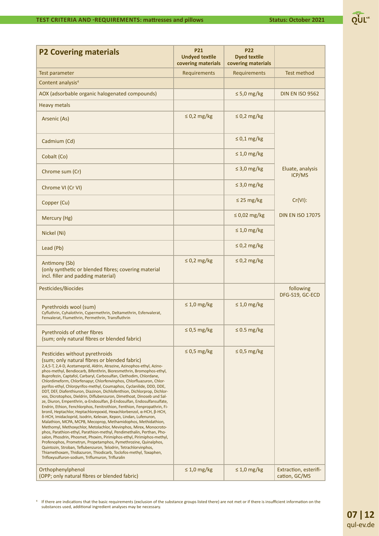

| <b>P2 Covering materials</b>                                                                                                                                                                                                                                                                                                                                                                                                                                                                                                                                                                                                                                                                                                                                                                                                                                                                                                                                                                                                                                                                                                                                                                                                                                                                                                                                                                                                                                             | <b>P21</b><br><b>Undyed textile</b><br>covering materials | <b>P22</b><br><b>Dyed textile</b><br>covering materials |                                        |
|--------------------------------------------------------------------------------------------------------------------------------------------------------------------------------------------------------------------------------------------------------------------------------------------------------------------------------------------------------------------------------------------------------------------------------------------------------------------------------------------------------------------------------------------------------------------------------------------------------------------------------------------------------------------------------------------------------------------------------------------------------------------------------------------------------------------------------------------------------------------------------------------------------------------------------------------------------------------------------------------------------------------------------------------------------------------------------------------------------------------------------------------------------------------------------------------------------------------------------------------------------------------------------------------------------------------------------------------------------------------------------------------------------------------------------------------------------------------------|-----------------------------------------------------------|---------------------------------------------------------|----------------------------------------|
| <b>Test parameter</b>                                                                                                                                                                                                                                                                                                                                                                                                                                                                                                                                                                                                                                                                                                                                                                                                                                                                                                                                                                                                                                                                                                                                                                                                                                                                                                                                                                                                                                                    | Requirements                                              | Requirements                                            | <b>Test method</b>                     |
| Content analysis <sup>4</sup>                                                                                                                                                                                                                                                                                                                                                                                                                                                                                                                                                                                                                                                                                                                                                                                                                                                                                                                                                                                                                                                                                                                                                                                                                                                                                                                                                                                                                                            |                                                           |                                                         |                                        |
| AOX (adsorbable organic halogenated compounds)                                                                                                                                                                                                                                                                                                                                                                                                                                                                                                                                                                                                                                                                                                                                                                                                                                                                                                                                                                                                                                                                                                                                                                                                                                                                                                                                                                                                                           |                                                           | $\leq 5.0$ mg/kg                                        | <b>DIN EN ISO 9562</b>                 |
| <b>Heavy metals</b>                                                                                                                                                                                                                                                                                                                                                                                                                                                                                                                                                                                                                                                                                                                                                                                                                                                                                                                                                                                                                                                                                                                                                                                                                                                                                                                                                                                                                                                      |                                                           |                                                         |                                        |
| Arsenic (As)                                                                                                                                                                                                                                                                                                                                                                                                                                                                                                                                                                                                                                                                                                                                                                                                                                                                                                                                                                                                                                                                                                                                                                                                                                                                                                                                                                                                                                                             | $\leq$ 0,2 mg/kg                                          | $\leq$ 0,2 mg/kg                                        |                                        |
| Cadmium (Cd)                                                                                                                                                                                                                                                                                                                                                                                                                                                                                                                                                                                                                                                                                                                                                                                                                                                                                                                                                                                                                                                                                                                                                                                                                                                                                                                                                                                                                                                             |                                                           | $\leq 0.1$ mg/kg                                        |                                        |
| Cobalt (Co)                                                                                                                                                                                                                                                                                                                                                                                                                                                                                                                                                                                                                                                                                                                                                                                                                                                                                                                                                                                                                                                                                                                                                                                                                                                                                                                                                                                                                                                              |                                                           | $\leq 1.0$ mg/kg                                        |                                        |
| Chrome sum (Cr)                                                                                                                                                                                                                                                                                                                                                                                                                                                                                                                                                                                                                                                                                                                                                                                                                                                                                                                                                                                                                                                                                                                                                                                                                                                                                                                                                                                                                                                          |                                                           | $\leq$ 3,0 mg/kg                                        | Eluate, analysis<br>ICP/MS             |
| Chrome VI (Cr VI)                                                                                                                                                                                                                                                                                                                                                                                                                                                                                                                                                                                                                                                                                                                                                                                                                                                                                                                                                                                                                                                                                                                                                                                                                                                                                                                                                                                                                                                        |                                                           | $\leq$ 3,0 mg/kg                                        |                                        |
| Copper (Cu)                                                                                                                                                                                                                                                                                                                                                                                                                                                                                                                                                                                                                                                                                                                                                                                                                                                                                                                                                                                                                                                                                                                                                                                                                                                                                                                                                                                                                                                              |                                                           | $\leq$ 25 mg/kg                                         | $Cr(VI)$ :                             |
| Mercury (Hg)                                                                                                                                                                                                                                                                                                                                                                                                                                                                                                                                                                                                                                                                                                                                                                                                                                                                                                                                                                                                                                                                                                                                                                                                                                                                                                                                                                                                                                                             |                                                           | $\leq$ 0,02 mg/kg                                       | <b>DIN EN ISO 17075</b>                |
| Nickel (Ni)                                                                                                                                                                                                                                                                                                                                                                                                                                                                                                                                                                                                                                                                                                                                                                                                                                                                                                                                                                                                                                                                                                                                                                                                                                                                                                                                                                                                                                                              |                                                           | $\leq 1.0$ mg/kg                                        |                                        |
| Lead (Pb)                                                                                                                                                                                                                                                                                                                                                                                                                                                                                                                                                                                                                                                                                                                                                                                                                                                                                                                                                                                                                                                                                                                                                                                                                                                                                                                                                                                                                                                                |                                                           | $\leq$ 0,2 mg/kg                                        |                                        |
| Antimony (Sb)<br>(only synthetic or blended fibres; covering material<br>incl. filler and padding material)                                                                                                                                                                                                                                                                                                                                                                                                                                                                                                                                                                                                                                                                                                                                                                                                                                                                                                                                                                                                                                                                                                                                                                                                                                                                                                                                                              | $\leq$ 0,2 mg/kg                                          | $\leq$ 0,2 mg/kg                                        |                                        |
| Pesticides/Biocides                                                                                                                                                                                                                                                                                                                                                                                                                                                                                                                                                                                                                                                                                                                                                                                                                                                                                                                                                                                                                                                                                                                                                                                                                                                                                                                                                                                                                                                      |                                                           |                                                         | following<br>DFG-S19, GC-ECD           |
| Pyrethroids wool (sum)<br>Cyfluthrin, Cyhalothrin, Cypermethrin, Deltamethrin, Esfenvalerat,<br>Fenvalerat, Flumethrin, Permethrin, Transfluthrin                                                                                                                                                                                                                                                                                                                                                                                                                                                                                                                                                                                                                                                                                                                                                                                                                                                                                                                                                                                                                                                                                                                                                                                                                                                                                                                        | $\leq 1.0$ mg/kg                                          | $\leq 1.0$ mg/kg                                        |                                        |
| Pyrethroids of other fibres<br>(sum; only natural fibres or blended fabric)                                                                                                                                                                                                                                                                                                                                                                                                                                                                                                                                                                                                                                                                                                                                                                                                                                                                                                                                                                                                                                                                                                                                                                                                                                                                                                                                                                                              | $\leq$ 0,5 mg/kg                                          | $\leq 0.5$ mg/kg                                        |                                        |
| Pesticides without pyrethroids<br>(sum; only natural fibres or blended fabric)<br>2,4,5-T, 2,4-D, Acetameprid, Aldrin, Atrazine, Azinophos-ethyl, Azino-<br>phos-methyl, Bendiocarb, Bifenthrin, Bioresmethrin, Bromophos-ethyl,<br>Buprofezin, Captafol, Carbaryl, Carbosulfan, Clethodim, Chlordane,<br>Chlordimeform, Chlorfenapyr, Chlorfenvinphos, Chlorfluazuron, Chlor-<br>pyrifos-ethyl, Chlorpyrifos-methyl, Coumaphos, Cyclanilide, DDD, DDE,<br>DDT, DEF, Diafenthiuron, Diazinon, Dichlofenthion, Dichlorprop, Dichlor-<br>vos, Dicrotophos, Dieldrin, Diflubenzuron, Dimethoat, Dinoseb und Sal-<br>ze, Diuron, Empenthrin, α-Endosulfan, β-Endosulfan, Endosulfansulfate,<br>Endrin, Ethion, Fenchlorphos, Fenitrothion, Fenthion, Fenpropathrin, Fi-<br>bronil, Heptachlor, Heptachlorepoxid, Hexachlorbenzol, α-HCH, β-HCH,<br>δ-HCH, Imidacloprid, Isodrin, Kelevan, Kepon, Lindan, Lufenuron,<br>Malathion, MCPA, MCPB, Mecoprop, Methamidophos, Methidathion,<br>Methomyl, Methoxychlor, Metolachlor, Mevinphos, Mirex, Monocroto-<br>phos, Parathion-ethyl, Parathion-methyl, Pendimethalin, Perthan, Pho-<br>salon, Phosdrin, Phosmet, Phoxim, Pirimiphos-ethyl, Pirimiphos-methyl,<br>Profenophos, Prometryn, Propetamphos, Pymethrozine, Quinalphos,<br>Quintozin, Stroban, Teflubenzuron, Telodrin, Tetrachlorvinphos,<br>Thiamethoxam, Thidiazuron, Thiodicarb, Toclofos-methyl, Toxaphen,<br>Trifloxysulfuron-sodium, Triflumuron, Trifluralin | $\leq$ 0,5 mg/kg                                          | $\leq$ 0,5 mg/kg                                        |                                        |
| Orthophenylphenol<br>(OPP; only natural fibres or blended fabric)                                                                                                                                                                                                                                                                                                                                                                                                                                                                                                                                                                                                                                                                                                                                                                                                                                                                                                                                                                                                                                                                                                                                                                                                                                                                                                                                                                                                        | $\leq 1.0$ mg/kg                                          | $\leq 1.0$ mg/kg                                        | Extraction, esterifi-<br>cation, GC/MS |

<sup>4</sup> If there are indications that the basic requirements (exclusion of the substance groups listed there) are not met or if there is insufficient information on the substances used, additional ingredient analyses may be necessary.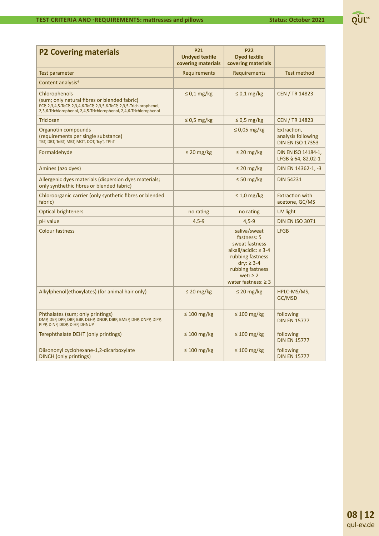| e.v.<br>OUL |
|-------------|
|             |

| <b>Test method</b><br>Test parameter<br><b>Requirements</b><br>Requirements<br>Content analysis <sup>4</sup><br>Chlorophenols<br>$\leq$ 0,1 mg/kg<br>$\leq$ 0,1 mg/kg<br><b>CEN / TR 14823</b><br>(sum; only natural fibres or blended fabric)<br>PCP, 2,3,4,5-TeCP, 2,3,4,6-TeCP, 2,3,5,6-TeCP, 2,3,5-Trichlorophenol,<br>2,3,6-Trichlorophenol, 2,4,5-Trichlorophenol, 2,4,6-Trichlorophenol<br><b>Triclosan</b><br>$\leq$ 0,5 mg/kg<br>$\leq$ 0,5 mg/kg<br><b>CEN / TR 14823</b><br>$\leq$ 0,05 mg/kg<br>Organotin compounds<br>Extraction,<br>(requirements per single substance)<br>analysis following<br>ТВТ, DBT, ТеВТ, МВТ, МОТ, DOT, ТсуТ, ТРhT<br><b>DIN EN ISO 17353</b><br>$\leq$ 20 mg/kg<br>$\leq$ 20 mg/kg<br>Formaldehyde<br>DIN EN ISO 14184-1,<br>LFGB § 64, 82.02-1<br>Amines (azo dyes)<br>$\leq$ 20 mg/kg<br>DIN EN 14362-1, -3<br>Allergenic dyes materials (dispersion dyes materials;<br>$\leq 50$ mg/kg<br><b>DIN 54231</b><br>only synthethic fibres or blended fabric)<br><b>Extraction with</b><br>Chloroorganic carrier (only synthetic fibres or blended<br>$\leq 1.0$ mg/kg<br>fabric)<br>acetone, GC/MS<br><b>Optical brighteners</b><br><b>UV light</b><br>no rating<br>no rating<br>$4.5 - 9$<br>$4,5-9$<br><b>DIN EN ISO 3071</b><br>pH value<br><b>Colour fastness</b><br>saliva/sweat<br><b>LFGB</b><br>fastness: 5<br>sweat fastness<br>alkali/acidic: $\geq$ 3-4<br>rubbing fastness<br>dry: $\geq$ 3-4<br>rubbing fastness<br>wet: $\geq 2$<br>water fastness: $\geq 3$<br>Alkylphenol(ethoxylates) (for animal hair only)<br>$\leq$ 20 mg/kg<br>HPLC-MS/MS,<br>$\leq$ 20 mg/kg<br>GC/MSD<br>Phthalates (sum; only printings)<br>$\leq 100$ mg/kg<br>$\leq 100$ mg/kg<br>following<br>DMP, DEP, DPP, DBP, BBP, DEHP, DNOP, DIBP, BMEP, DHP, DNPP, DIPP,<br><b>DIN EN 15777</b><br>PIPP, DINP, DIDP, DIHP, DHNUP<br>Terephthalate DEHT (only printings)<br>$\leq 100$ mg/kg<br>$\leq 100$ mg/kg<br>following<br><b>DIN EN 15777</b><br>Diisononyl cyclohexane-1,2-dicarboxylate<br>$\leq 100$ mg/kg<br>$\leq 100$ mg/kg<br>following<br><b>DINCH</b> (only printings)<br><b>DIN EN 15777</b> | <b>P2 Covering materials</b> | <b>P21</b><br><b>Undved textile</b><br>covering materials | <b>P22</b><br><b>Dyed textile</b><br>covering materials |  |
|-------------------------------------------------------------------------------------------------------------------------------------------------------------------------------------------------------------------------------------------------------------------------------------------------------------------------------------------------------------------------------------------------------------------------------------------------------------------------------------------------------------------------------------------------------------------------------------------------------------------------------------------------------------------------------------------------------------------------------------------------------------------------------------------------------------------------------------------------------------------------------------------------------------------------------------------------------------------------------------------------------------------------------------------------------------------------------------------------------------------------------------------------------------------------------------------------------------------------------------------------------------------------------------------------------------------------------------------------------------------------------------------------------------------------------------------------------------------------------------------------------------------------------------------------------------------------------------------------------------------------------------------------------------------------------------------------------------------------------------------------------------------------------------------------------------------------------------------------------------------------------------------------------------------------------------------------------------------------------------------------------------------------------------------------------------------------------------------------------------------------------------|------------------------------|-----------------------------------------------------------|---------------------------------------------------------|--|
|                                                                                                                                                                                                                                                                                                                                                                                                                                                                                                                                                                                                                                                                                                                                                                                                                                                                                                                                                                                                                                                                                                                                                                                                                                                                                                                                                                                                                                                                                                                                                                                                                                                                                                                                                                                                                                                                                                                                                                                                                                                                                                                                     |                              |                                                           |                                                         |  |
|                                                                                                                                                                                                                                                                                                                                                                                                                                                                                                                                                                                                                                                                                                                                                                                                                                                                                                                                                                                                                                                                                                                                                                                                                                                                                                                                                                                                                                                                                                                                                                                                                                                                                                                                                                                                                                                                                                                                                                                                                                                                                                                                     |                              |                                                           |                                                         |  |
|                                                                                                                                                                                                                                                                                                                                                                                                                                                                                                                                                                                                                                                                                                                                                                                                                                                                                                                                                                                                                                                                                                                                                                                                                                                                                                                                                                                                                                                                                                                                                                                                                                                                                                                                                                                                                                                                                                                                                                                                                                                                                                                                     |                              |                                                           |                                                         |  |
|                                                                                                                                                                                                                                                                                                                                                                                                                                                                                                                                                                                                                                                                                                                                                                                                                                                                                                                                                                                                                                                                                                                                                                                                                                                                                                                                                                                                                                                                                                                                                                                                                                                                                                                                                                                                                                                                                                                                                                                                                                                                                                                                     |                              |                                                           |                                                         |  |
|                                                                                                                                                                                                                                                                                                                                                                                                                                                                                                                                                                                                                                                                                                                                                                                                                                                                                                                                                                                                                                                                                                                                                                                                                                                                                                                                                                                                                                                                                                                                                                                                                                                                                                                                                                                                                                                                                                                                                                                                                                                                                                                                     |                              |                                                           |                                                         |  |
|                                                                                                                                                                                                                                                                                                                                                                                                                                                                                                                                                                                                                                                                                                                                                                                                                                                                                                                                                                                                                                                                                                                                                                                                                                                                                                                                                                                                                                                                                                                                                                                                                                                                                                                                                                                                                                                                                                                                                                                                                                                                                                                                     |                              |                                                           |                                                         |  |
|                                                                                                                                                                                                                                                                                                                                                                                                                                                                                                                                                                                                                                                                                                                                                                                                                                                                                                                                                                                                                                                                                                                                                                                                                                                                                                                                                                                                                                                                                                                                                                                                                                                                                                                                                                                                                                                                                                                                                                                                                                                                                                                                     |                              |                                                           |                                                         |  |
|                                                                                                                                                                                                                                                                                                                                                                                                                                                                                                                                                                                                                                                                                                                                                                                                                                                                                                                                                                                                                                                                                                                                                                                                                                                                                                                                                                                                                                                                                                                                                                                                                                                                                                                                                                                                                                                                                                                                                                                                                                                                                                                                     |                              |                                                           |                                                         |  |
|                                                                                                                                                                                                                                                                                                                                                                                                                                                                                                                                                                                                                                                                                                                                                                                                                                                                                                                                                                                                                                                                                                                                                                                                                                                                                                                                                                                                                                                                                                                                                                                                                                                                                                                                                                                                                                                                                                                                                                                                                                                                                                                                     |                              |                                                           |                                                         |  |
|                                                                                                                                                                                                                                                                                                                                                                                                                                                                                                                                                                                                                                                                                                                                                                                                                                                                                                                                                                                                                                                                                                                                                                                                                                                                                                                                                                                                                                                                                                                                                                                                                                                                                                                                                                                                                                                                                                                                                                                                                                                                                                                                     |                              |                                                           |                                                         |  |
|                                                                                                                                                                                                                                                                                                                                                                                                                                                                                                                                                                                                                                                                                                                                                                                                                                                                                                                                                                                                                                                                                                                                                                                                                                                                                                                                                                                                                                                                                                                                                                                                                                                                                                                                                                                                                                                                                                                                                                                                                                                                                                                                     |                              |                                                           |                                                         |  |
|                                                                                                                                                                                                                                                                                                                                                                                                                                                                                                                                                                                                                                                                                                                                                                                                                                                                                                                                                                                                                                                                                                                                                                                                                                                                                                                                                                                                                                                                                                                                                                                                                                                                                                                                                                                                                                                                                                                                                                                                                                                                                                                                     |                              |                                                           |                                                         |  |
|                                                                                                                                                                                                                                                                                                                                                                                                                                                                                                                                                                                                                                                                                                                                                                                                                                                                                                                                                                                                                                                                                                                                                                                                                                                                                                                                                                                                                                                                                                                                                                                                                                                                                                                                                                                                                                                                                                                                                                                                                                                                                                                                     |                              |                                                           |                                                         |  |
|                                                                                                                                                                                                                                                                                                                                                                                                                                                                                                                                                                                                                                                                                                                                                                                                                                                                                                                                                                                                                                                                                                                                                                                                                                                                                                                                                                                                                                                                                                                                                                                                                                                                                                                                                                                                                                                                                                                                                                                                                                                                                                                                     |                              |                                                           |                                                         |  |
|                                                                                                                                                                                                                                                                                                                                                                                                                                                                                                                                                                                                                                                                                                                                                                                                                                                                                                                                                                                                                                                                                                                                                                                                                                                                                                                                                                                                                                                                                                                                                                                                                                                                                                                                                                                                                                                                                                                                                                                                                                                                                                                                     |                              |                                                           |                                                         |  |
|                                                                                                                                                                                                                                                                                                                                                                                                                                                                                                                                                                                                                                                                                                                                                                                                                                                                                                                                                                                                                                                                                                                                                                                                                                                                                                                                                                                                                                                                                                                                                                                                                                                                                                                                                                                                                                                                                                                                                                                                                                                                                                                                     |                              |                                                           |                                                         |  |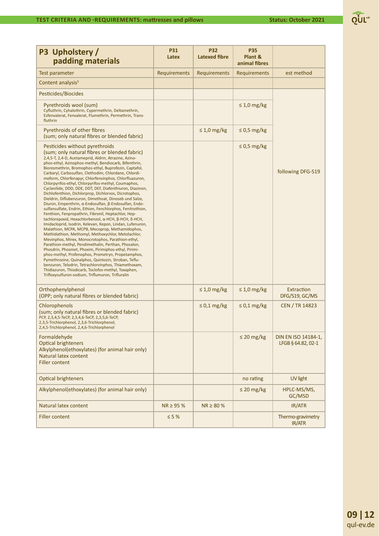| P3 Upholstery /<br>padding materials                                                                                                                                                                                                                                                                                                                                                                                                                                                                                                                                                                                                                                                                                                                                                                                                                                                                                                                                                                                                                                                                                                                                                                                                                                                                                                                                                                                                                                                  | <b>P31</b><br>Latex | <b>P32</b><br>Latexed fibre | <b>P35</b><br>Plant &<br>animal fibres |                                           |
|---------------------------------------------------------------------------------------------------------------------------------------------------------------------------------------------------------------------------------------------------------------------------------------------------------------------------------------------------------------------------------------------------------------------------------------------------------------------------------------------------------------------------------------------------------------------------------------------------------------------------------------------------------------------------------------------------------------------------------------------------------------------------------------------------------------------------------------------------------------------------------------------------------------------------------------------------------------------------------------------------------------------------------------------------------------------------------------------------------------------------------------------------------------------------------------------------------------------------------------------------------------------------------------------------------------------------------------------------------------------------------------------------------------------------------------------------------------------------------------|---------------------|-----------------------------|----------------------------------------|-------------------------------------------|
| <b>Test parameter</b>                                                                                                                                                                                                                                                                                                                                                                                                                                                                                                                                                                                                                                                                                                                                                                                                                                                                                                                                                                                                                                                                                                                                                                                                                                                                                                                                                                                                                                                                 | Requirements        | Requirements                | Requirements                           | est method                                |
| Content analysis <sup>5</sup>                                                                                                                                                                                                                                                                                                                                                                                                                                                                                                                                                                                                                                                                                                                                                                                                                                                                                                                                                                                                                                                                                                                                                                                                                                                                                                                                                                                                                                                         |                     |                             |                                        |                                           |
| Pesticides/Biocides                                                                                                                                                                                                                                                                                                                                                                                                                                                                                                                                                                                                                                                                                                                                                                                                                                                                                                                                                                                                                                                                                                                                                                                                                                                                                                                                                                                                                                                                   |                     |                             |                                        |                                           |
| Pyrethroids wool (sum)<br>Cyfluthrin, Cyhalothrin, Cypermethrin, Deltamethrin,<br>Esfenvalerat, Fenvalerat, Flumethrin, Permethrin, Trans-<br>fluthrin                                                                                                                                                                                                                                                                                                                                                                                                                                                                                                                                                                                                                                                                                                                                                                                                                                                                                                                                                                                                                                                                                                                                                                                                                                                                                                                                |                     |                             | $\leq 1.0$ mg/kg                       |                                           |
| Pyrethroids of other fibres<br>(sum; only natural fibres or blended fabric)                                                                                                                                                                                                                                                                                                                                                                                                                                                                                                                                                                                                                                                                                                                                                                                                                                                                                                                                                                                                                                                                                                                                                                                                                                                                                                                                                                                                           |                     | $\leq 1.0$ mg/kg            | $\leq$ 0,5 mg/kg                       |                                           |
| Pesticides without pyrethroids<br>(sum; only natural fibres or blended fabric)<br>2,4,5-T, 2,4-D, Acetameprid, Aldrin, Atrazine, Azino-<br>phos-ethyl, Azinophos-methyl, Bendiocarb, Bifenthrin,<br>Bioresmethrin, Bromophos-ethyl, Buprofezin, Captafol,<br>Carbaryl, Carbosulfan, Clethodim, Chlordane, Chlordi-<br>meform, Chlorfenapyr, Chlorfenvinphos, Chlorfluazuron,<br>Chlorpyrifos-ethyl, Chlorpyrifos-methyl, Coumaphos,<br>Cyclanilide, DDD, DDE, DDT, DEF, Diafenthiuron, Diazinon,<br>Dichlofenthion, Dichlorprop, Dichlorvos, Dicrotophos,<br>Dieldrin, Diflubenzuron, Dimethoat, Dinoseb und Salze,<br>Diuron, Empenthrin, α-Endosulfan, β-Endosulfan, Endo-<br>sulfansulfate, Endrin, Ethion, Fenchlorphos, Fenitrothion,<br>Fenthion, Fenpropathrin, Fibronil, Heptachlor, Hep-<br>tachlorepoxid, Hexachlorbenzol, α-HCH, β-HCH, δ-HCH,<br>Imidacloprid, Isodrin, Kelevan, Kepon, Lindan, Lufenuron,<br>Malathion, MCPA, MCPB, Mecoprop, Methamidophos,<br>Methidathion, Methomyl, Methoxychlor, Metolachlor,<br>Mevinphos, Mirex, Monocrotophos, Parathion-ethyl,<br>Parathion-methyl, Pendimethalin, Perthan, Phosalon,<br>Phosdrin, Phosmet, Phoxim, Pirimiphos-ethyl, Pirimi-<br>phos-methyl, Profenophos, Prometryn, Propetamphos,<br>Pymethrozine, Quinalphos, Quintozin, Stroban, Teflu-<br>benzuron, Telodrin, Tetrachlorvinphos, Thiamethoxam,<br>Thidiazuron, Thiodicarb, Toclofos-methyl, Toxaphen,<br>Trifloxysulfuron-sodium, Triflumuron, Trifluralin |                     |                             | $\leq$ 0,5 mg/kg                       | following DFG-S19                         |
| Orthophenylphenol<br>(OPP; only natural fibres or blended fabric)                                                                                                                                                                                                                                                                                                                                                                                                                                                                                                                                                                                                                                                                                                                                                                                                                                                                                                                                                                                                                                                                                                                                                                                                                                                                                                                                                                                                                     |                     | $\leq 1.0$ mg/kg            | $\leq 1.0$ mg/kg                       | Extraction<br>DFG/S19, GC/MS              |
| Chlorophenols<br>(sum; only natural fibres or blended fabric)<br>PCP, 2,3,4,5-TeCP, 2,3,4,6-TeCP, 2,3,5,6-TeCP,<br>2,3,5-Trichlorphenol, 2,3,6-Trichlorphenol,<br>2,4,5-Trichlorphenol, 2,4,6-Trichlorphenol                                                                                                                                                                                                                                                                                                                                                                                                                                                                                                                                                                                                                                                                                                                                                                                                                                                                                                                                                                                                                                                                                                                                                                                                                                                                          |                     | $\leq 0.1$ mg/kg            | $\leq 0.1$ mg/kg                       | <b>CEN / TR 14823</b>                     |
| Formaldehyde<br><b>Optical brighteners</b><br>Alkylphenol(ethoxylates) (for animal hair only)<br>Natural latex content<br><b>Filler content</b>                                                                                                                                                                                                                                                                                                                                                                                                                                                                                                                                                                                                                                                                                                                                                                                                                                                                                                                                                                                                                                                                                                                                                                                                                                                                                                                                       |                     |                             | $\leq$ 20 mg/kg                        | DIN EN ISO 14184-1,<br>LFGB § 64.82, 02-1 |
| <b>Optical brighteners</b>                                                                                                                                                                                                                                                                                                                                                                                                                                                                                                                                                                                                                                                                                                                                                                                                                                                                                                                                                                                                                                                                                                                                                                                                                                                                                                                                                                                                                                                            |                     |                             | no rating                              | <b>UV light</b>                           |
| Alkylphenol(ethoxylates) (for animal hair only)                                                                                                                                                                                                                                                                                                                                                                                                                                                                                                                                                                                                                                                                                                                                                                                                                                                                                                                                                                                                                                                                                                                                                                                                                                                                                                                                                                                                                                       |                     |                             | $\leq$ 20 mg/kg                        | HPLC-MS/MS,<br>GC/MSD                     |
| Natural latex content                                                                                                                                                                                                                                                                                                                                                                                                                                                                                                                                                                                                                                                                                                                                                                                                                                                                                                                                                                                                                                                                                                                                                                                                                                                                                                                                                                                                                                                                 | $NR \geq 95$ %      | $NR \ge 80 \%$              |                                        | IR/ATR                                    |
| <b>Filler content</b>                                                                                                                                                                                                                                                                                                                                                                                                                                                                                                                                                                                                                                                                                                                                                                                                                                                                                                                                                                                                                                                                                                                                                                                                                                                                                                                                                                                                                                                                 | $\leq 5%$           |                             |                                        | Thermo-gravimetry<br>IR/ATR               |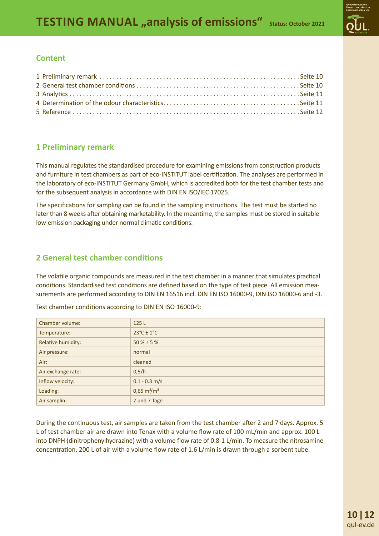#### **Content**

# **1 Preliminary remark**

This manual regulates the standardised procedure for examining emissions from construction products and furniture in test chambers as part of eco-INSTITUT label certification. The analyses are performed in the laboratory of eco-INSTITUT Germany GmbH, which is accredited both for the test chamber tests and for the subsequent analysis in accordance with DIN EN ISO/IEC 17025.

The specifications for sampling can be found in the sampling instructions. The test must be started no later than 8 weeks after obtaining marketability. In the meantime, the samples must be stored in suitable low-emission packaging under normal climatic conditions.

### **2 General test chamber conditions**

The volatile organic compounds are measured in the test chamber in a manner that simulates practical conditions. Standardised test conditions are defined based on the type of test piece. All emission measurements are performed according to DIN EN 16516 incl. DIN EN ISO 16000-9, DIN ISO 16000-6 and -3.

| Chamber volume:    | 125 L                         |
|--------------------|-------------------------------|
| Temperature:       | $23^{\circ}$ C ± 1°C          |
| Relative humidity: | $50 \% \pm 5 \%$              |
| Air pressure:      | normal                        |
| Air:               | cleaned                       |
| Air exchange rate: | 0,5/h                         |
| Inflow velocity:   | $0.1 - 0.3$ m/s               |
| Loading:           | $0,65 \text{ m}^2/\text{m}^3$ |
| Air samplin:       | 2 und 7 Tage                  |

Test chamber conditions according to DIN EN ISO 16000-9:

During the continuous test, air samples are taken from the test chamber after 2 and 7 days. Approx. 5 L of test chamber air are drawn into Tenax with a volume flow rate of 100 mL/min and approx. 100 L into DNPH (dinitrophenylhydrazine) with a volume flow rate of 0.8-1 L/min. To measure the nitrosamine concentration, 200 L of air with a volume flow rate of 1.6 L/min is drawn through a sorbent tube.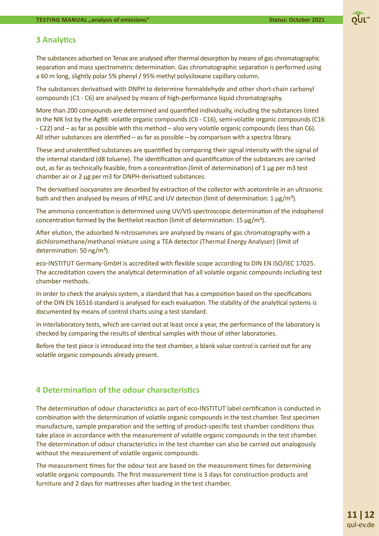#### **3 AnalyƟ cs**

The substances adsorbed on Tenax are analysed after thermal desorption by means of gas chromatographic separation and mass spectrometric determination. Gas chromatographic separation is performed using a 60 m long, slightly polar 5% phenyl / 95% methyl polysiloxane capillary column.

The substances derivatised with DNPH to determine formaldehyde and other short-chain carbonyl compounds (C1 - C6) are analysed by means of high-performance liquid chromatography.

More than 200 compounds are determined and quantified individually, including the substances listed in the NIK list by the AgBB: volatile organic compounds (C6 - C16), semi-volatile organic compounds (C16 - C22) and – as far as possible with this method – also very volatile organic compounds (less than C6). All other substances are identified – as far as possible – by comparison with a spectra library.

These and unidentified substances are quantified by comparing their signal intensity with the signal of the internal standard (d8 toluene). The identification and quantification of the substances are carried out, as far as technically feasible, from a concentration (limit of determination) of 1 μg per m3 test chamber air or 2 μg per m3 for DNPH-derivatised substances.

The derivatised isocyanates are desorbed by extraction of the collector with acetonitrile in an ultrasonic bath and then analysed by means of HPLC and UV detection (limit of determination:  $1 \mu g/m^3$ ).

The ammonia concentration is determined using UV/VIS spectroscopic determination of the indophenol concentration formed by the Berthelot reaction (limit of determination: 15  $\mu$ g/m<sup>3</sup>).

After elution, the adsorbed N-nitrosamines are analysed by means of gas chromatography with a dichloromethane/methanol mixture using a TEA detector (Thermal Energy Analyser) (limit of determination:  $50 \text{ ng/m}^3$ ).

eco-INSTITUT Germany GmbH is accredited with flexible scope according to DIN EN ISO/IEC 17025. The accreditation covers the analytical determination of all volatile organic compounds including test chamber methods.

In order to check the analysis system, a standard that has a composition based on the specifications of the DIN EN 16516 standard is analysed for each evaluation. The stability of the analytical systems is documented by means of control charts using a test standard.

In interlaboratory tests, which are carried out at least once a year, the performance of the laboratory is checked by comparing the results of identical samples with those of other laboratories.

Before the test piece is introduced into the test chamber, a blank value control is carried out for any volatile organic compounds already present.

#### **4 DeterminaƟ on of the odour characterisƟ cs**

The determination of odour characteristics as part of eco-INSTITUT label certification is conducted in combination with the determination of volatile organic compounds in the test chamber. Test specimen manufacture, sample preparation and the setting of product-specific test chamber conditions thus take place in accordance with the measurement of volatile organic compounds in the test chamber. The determination of odour characteristics in the test chamber can also be carried out analogously without the measurement of volatile organic compounds.

The measurement times for the odour test are based on the measurement times for determining volatile organic compounds. The first measurement time is 3 days for construction products and furniture and 2 days for mattresses after loading in the test chamber.